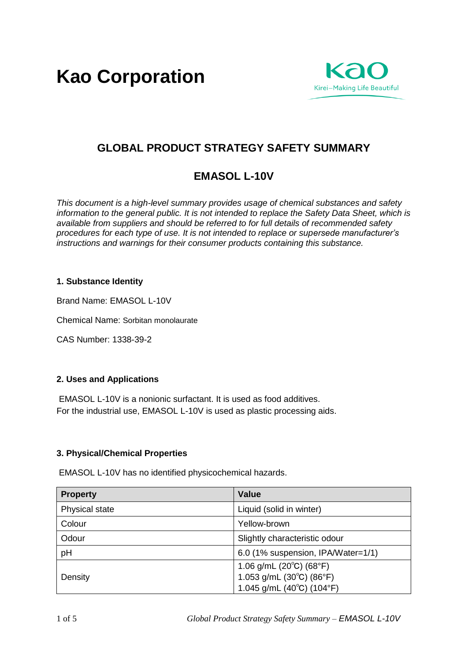**Kao Corporation**



# **GLOBAL PRODUCT STRATEGY SAFETY SUMMARY**

# **EMASOL L-10V**

*This document is a high-level summary provides usage of chemical substances and safety information to the general public. It is not intended to replace the Safety Data Sheet, which is available from suppliers and should be referred to for full details of recommended safety procedures for each type of use. It is not intended to replace or supersede manufacturer's instructions and warnings for their consumer products containing this substance.* 

## **1. Substance Identity**

Brand Name: EMASOL L-10V

Chemical Name: Sorbitan monolaurate

CAS Number: 1338-39-2

## **2. Uses and Applications**

EMASOL L-10V is a nonionic surfactant. It is used as food additives. For the industrial use, EMASOL L-10V is used as plastic processing aids.

## **3. Physical/Chemical Properties**

EMASOL L-10V has no identified physicochemical hazards.

| <b>Property</b> | Value                                           |
|-----------------|-------------------------------------------------|
| Physical state  | Liquid (solid in winter)                        |
| Colour          | Yellow-brown                                    |
| Odour           | Slightly characteristic odour                   |
| pH              | 6.0 (1% suspension, IPA/Water=1/1)              |
|                 | 1.06 g/mL $(20^{\circ}C)$ $(68^{\circ}F)$       |
| Density         | 1.053 g/mL $(30^{\circ}C)$ $(86^{\circ}F)$      |
|                 | 1.045 g/mL (40 $^{\circ}$ C) (104 $^{\circ}$ F) |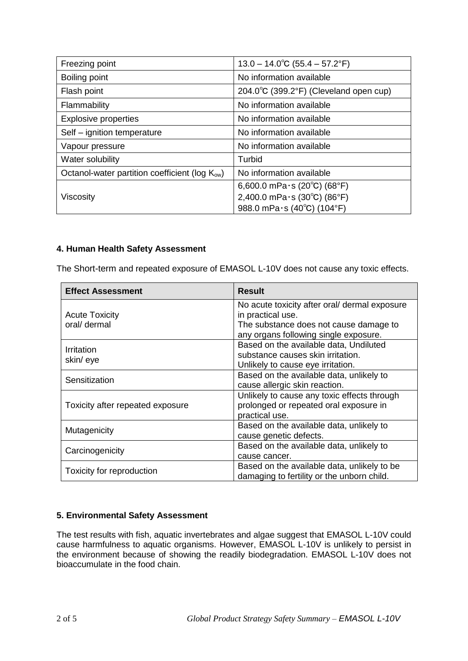| Freezing point                                             | $13.0 - 14.0^{\circ}$ C (55.4 – 57.2°F)                    |
|------------------------------------------------------------|------------------------------------------------------------|
| Boiling point                                              | No information available                                   |
| Flash point                                                | 204.0 $\degree$ C (399.2 $\degree$ F) (Cleveland open cup) |
| Flammability                                               | No information available                                   |
| <b>Explosive properties</b>                                | No information available                                   |
| Self - ignition temperature                                | No information available                                   |
| Vapour pressure                                            | No information available                                   |
| Water solubility                                           | Turbid                                                     |
| Octanol-water partition coefficient (log K <sub>ow</sub> ) | No information available                                   |
|                                                            | 6,600.0 mPa $\cdot$ s (20°C) (68°F)                        |
| Viscosity                                                  | 2,400.0 mPa $\cdot$ s (30°C) (86°F)                        |
|                                                            | 988.0 mPa $\cdot$ s (40°C) (104°F)                         |

## **4. Human Health Safety Assessment**

The Short-term and repeated exposure of EMASOL L-10V does not cause any toxic effects.

| <b>Effect Assessment</b>              | <b>Result</b>                                                                                                                                         |
|---------------------------------------|-------------------------------------------------------------------------------------------------------------------------------------------------------|
| <b>Acute Toxicity</b><br>oral/ dermal | No acute toxicity after oral/ dermal exposure<br>in practical use.<br>The substance does not cause damage to<br>any organs following single exposure. |
| Irritation<br>skin/eye                | Based on the available data, Undiluted<br>substance causes skin irritation.<br>Unlikely to cause eye irritation.                                      |
| Sensitization                         | Based on the available data, unlikely to<br>cause allergic skin reaction.                                                                             |
| Toxicity after repeated exposure      | Unlikely to cause any toxic effects through<br>prolonged or repeated oral exposure in<br>practical use.                                               |
| Mutagenicity                          | Based on the available data, unlikely to<br>cause genetic defects.                                                                                    |
| Carcinogenicity                       | Based on the available data, unlikely to<br>cause cancer.                                                                                             |
| Toxicity for reproduction             | Based on the available data, unlikely to be<br>damaging to fertility or the unborn child.                                                             |

## **5. Environmental Safety Assessment**

The test results with fish, aquatic invertebrates and algae suggest that EMASOL L-10V could cause harmfulness to aquatic organisms. However, EMASOL L-10V is unlikely to persist in the environment because of showing the readily biodegradation. EMASOL L-10V does not bioaccumulate in the food chain.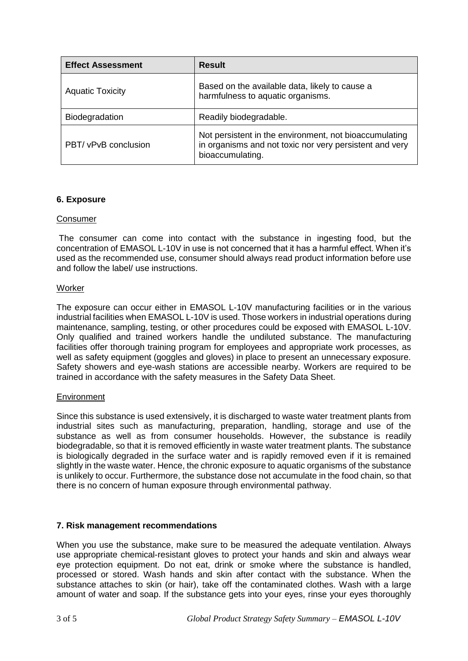| <b>Effect Assessment</b> | <b>Result</b>                                                                                                                         |
|--------------------------|---------------------------------------------------------------------------------------------------------------------------------------|
| <b>Aquatic Toxicity</b>  | Based on the available data, likely to cause a<br>harmfulness to aquatic organisms.                                                   |
| Biodegradation           | Readily biodegradable.                                                                                                                |
| PBT/ vPvB conclusion     | Not persistent in the environment, not bioaccumulating<br>in organisms and not toxic nor very persistent and very<br>bioaccumulating. |

## **6. Exposure**

#### Consumer

The consumer can come into contact with the substance in ingesting food, but the concentration of EMASOL L-10V in use is not concerned that it has a harmful effect. When it's used as the recommended use, consumer should always read product information before use and follow the label/ use instructions.

#### **Worker**

The exposure can occur either in EMASOL L-10V manufacturing facilities or in the various industrial facilities when EMASOL L-10V is used. Those workers in industrial operations during maintenance, sampling, testing, or other procedures could be exposed with EMASOL L-10V. Only qualified and trained workers handle the undiluted substance. The manufacturing facilities offer thorough training program for employees and appropriate work processes, as well as safety equipment (goggles and gloves) in place to present an unnecessary exposure. Safety showers and eye-wash stations are accessible nearby. Workers are required to be trained in accordance with the safety measures in the Safety Data Sheet.

#### **Environment**

Since this substance is used extensively, it is discharged to waste water treatment plants from industrial sites such as manufacturing, preparation, handling, storage and use of the substance as well as from consumer households. However, the substance is readily biodegradable, so that it is removed efficiently in waste water treatment plants. The substance is biologically degraded in the surface water and is rapidly removed even if it is remained slightly in the waste water. Hence, the chronic exposure to aquatic organisms of the substance is unlikely to occur. Furthermore, the substance dose not accumulate in the food chain, so that there is no concern of human exposure through environmental pathway.

#### **7. Risk management recommendations**

When you use the substance, make sure to be measured the adequate ventilation. Always use appropriate chemical-resistant gloves to protect your hands and skin and always wear eye protection equipment. Do not eat, drink or smoke where the substance is handled, processed or stored. Wash hands and skin after contact with the substance. When the substance attaches to skin (or hair), take off the contaminated clothes. Wash with a large amount of water and soap. If the substance gets into your eyes, rinse your eyes thoroughly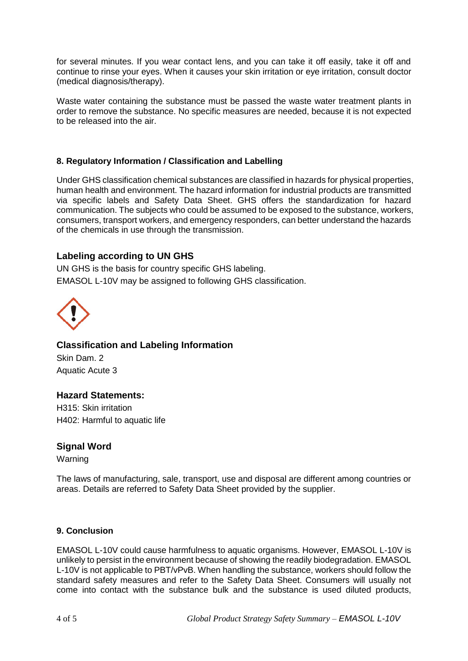for several minutes. If you wear contact lens, and you can take it off easily, take it off and continue to rinse your eyes. When it causes your skin irritation or eye irritation, consult doctor (medical diagnosis/therapy).

Waste water containing the substance must be passed the waste water treatment plants in order to remove the substance. No specific measures are needed, because it is not expected to be released into the air.

## **8. Regulatory Information / Classification and Labelling**

Under GHS classification chemical substances are classified in hazards for physical properties, human health and environment. The hazard information for industrial products are transmitted via specific labels and Safety Data Sheet. GHS offers the standardization for hazard communication. The subjects who could be assumed to be exposed to the substance, workers, consumers, transport workers, and emergency responders, can better understand the hazards of the chemicals in use through the transmission.

# **Labeling according to UN GHS**

UN GHS is the basis for country specific GHS labeling. EMASOL L-10V may be assigned to following GHS classification.



**Classification and Labeling Information** Skin Dam. 2 Aquatic Acute 3

## **Hazard Statements:**

H315: Skin irritation H402: Harmful to aquatic life

## **Signal Word**

Warning

The laws of manufacturing, sale, transport, use and disposal are different among countries or areas. Details are referred to Safety Data Sheet provided by the supplier.

#### **9. Conclusion**

EMASOL L-10V could cause harmfulness to aquatic organisms. However, EMASOL L-10V is unlikely to persist in the environment because of showing the readily biodegradation. EMASOL L-10V is not applicable to PBT/vPvB. When handling the substance, workers should follow the standard safety measures and refer to the Safety Data Sheet. Consumers will usually not come into contact with the substance bulk and the substance is used diluted products,